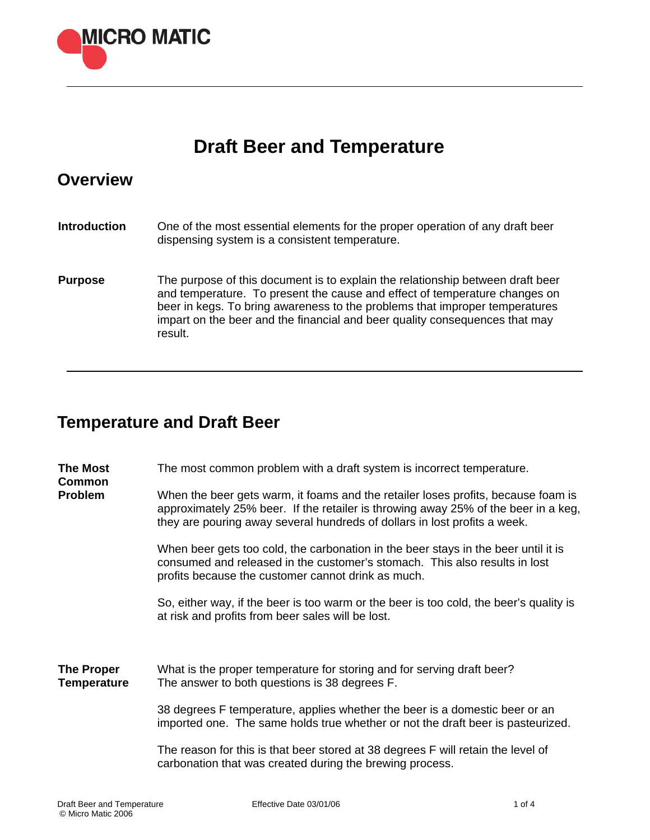

# **Draft Beer and Temperature**

### **Overview**

| <b>Introduction</b> | One of the most essential elements for the proper operation of any draft beer<br>dispensing system is a consistent temperature.                                                                                                                                                                                                       |
|---------------------|---------------------------------------------------------------------------------------------------------------------------------------------------------------------------------------------------------------------------------------------------------------------------------------------------------------------------------------|
| <b>Purpose</b>      | The purpose of this document is to explain the relationship between draft beer<br>and temperature. To present the cause and effect of temperature changes on<br>beer in kegs. To bring awareness to the problems that improper temperatures<br>impart on the beer and the financial and beer quality consequences that may<br>result. |

# **Temperature and Draft Beer**

| <b>The Most</b><br><b>Common</b><br><b>Problem</b> | The most common problem with a draft system is incorrect temperature.<br>When the beer gets warm, it foams and the retailer loses profits, because foam is<br>approximately 25% beer. If the retailer is throwing away 25% of the beer in a keg,<br>they are pouring away several hundreds of dollars in lost profits a week. |
|----------------------------------------------------|-------------------------------------------------------------------------------------------------------------------------------------------------------------------------------------------------------------------------------------------------------------------------------------------------------------------------------|
|                                                    | When beer gets too cold, the carbonation in the beer stays in the beer until it is<br>consumed and released in the customer's stomach. This also results in lost<br>profits because the customer cannot drink as much.                                                                                                        |
|                                                    | So, either way, if the beer is too warm or the beer is too cold, the beer's quality is<br>at risk and profits from beer sales will be lost.                                                                                                                                                                                   |
| <b>The Proper</b><br><b>Temperature</b>            | What is the proper temperature for storing and for serving draft beer?<br>The answer to both questions is 38 degrees F.                                                                                                                                                                                                       |
|                                                    | 38 degrees F temperature, applies whether the beer is a domestic beer or an<br>imported one. The same holds true whether or not the draft beer is pasteurized.                                                                                                                                                                |
|                                                    | The reason for this is that beer stored at 38 degrees F will retain the level of<br>carbonation that was created during the brewing process.                                                                                                                                                                                  |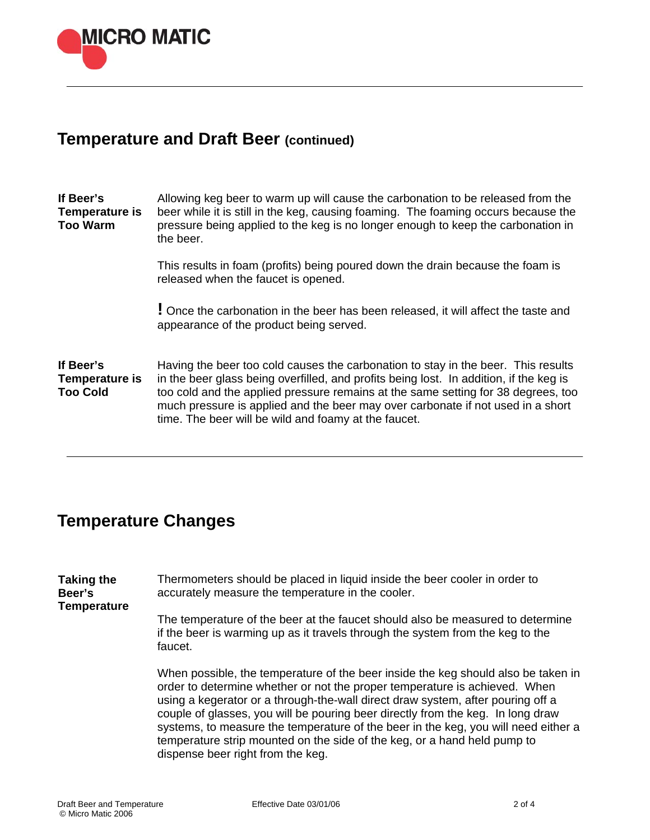

#### **Temperature and Draft Beer (continued)**

**If Beer's Temperature is Too Warm**  Allowing keg beer to warm up will cause the carbonation to be released from the beer while it is still in the keg, causing foaming. The foaming occurs because the pressure being applied to the keg is no longer enough to keep the carbonation in the beer.

> This results in foam (profits) being poured down the drain because the foam is released when the faucet is opened.

**!** Once the carbonation in the beer has been released, it will affect the taste and appearance of the product being served.

**If Beer's Temperature is Too Cold**  Having the beer too cold causes the carbonation to stay in the beer. This results in the beer glass being overfilled, and profits being lost. In addition, if the keg is too cold and the applied pressure remains at the same setting for 38 degrees, too much pressure is applied and the beer may over carbonate if not used in a short time. The beer will be wild and foamy at the faucet.

### **Temperature Changes**

**Taking the Beer's Temperature**  Thermometers should be placed in liquid inside the beer cooler in order to accurately measure the temperature in the cooler.

The temperature of the beer at the faucet should also be measured to determine if the beer is warming up as it travels through the system from the keg to the faucet.

When possible, the temperature of the beer inside the keg should also be taken in order to determine whether or not the proper temperature is achieved. When using a kegerator or a through-the-wall direct draw system, after pouring off a couple of glasses, you will be pouring beer directly from the keg. In long draw systems, to measure the temperature of the beer in the keg, you will need either a temperature strip mounted on the side of the keg, or a hand held pump to dispense beer right from the keg.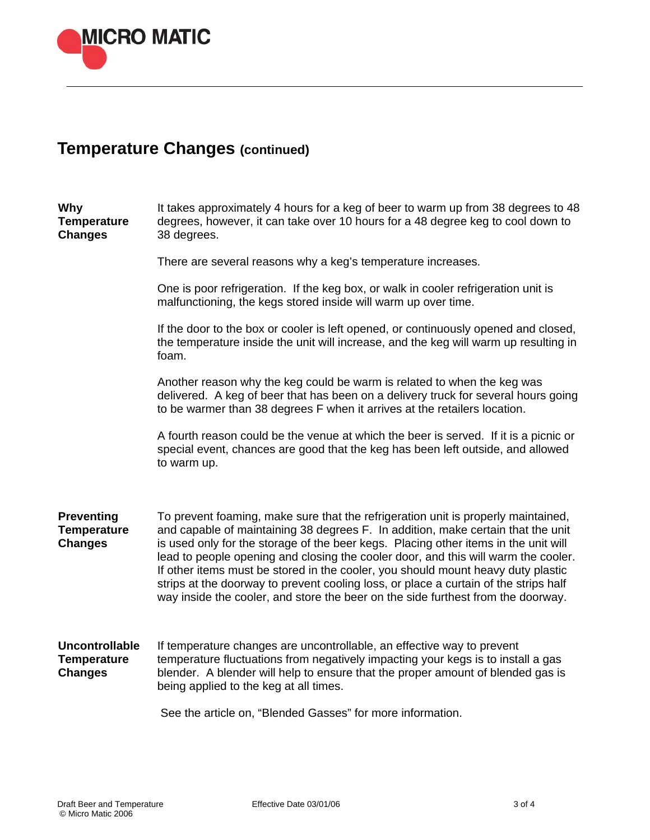

# **Temperature Changes (continued)**

| Why<br><b>Temperature</b><br><b>Changes</b>                   | It takes approximately 4 hours for a keg of beer to warm up from 38 degrees to 48<br>degrees, however, it can take over 10 hours for a 48 degree keg to cool down to<br>38 degrees.                                                                                                                                                                                                                                                                                                                                                                                                                                |
|---------------------------------------------------------------|--------------------------------------------------------------------------------------------------------------------------------------------------------------------------------------------------------------------------------------------------------------------------------------------------------------------------------------------------------------------------------------------------------------------------------------------------------------------------------------------------------------------------------------------------------------------------------------------------------------------|
|                                                               | There are several reasons why a keg's temperature increases.                                                                                                                                                                                                                                                                                                                                                                                                                                                                                                                                                       |
|                                                               | One is poor refrigeration. If the keg box, or walk in cooler refrigeration unit is<br>malfunctioning, the kegs stored inside will warm up over time.                                                                                                                                                                                                                                                                                                                                                                                                                                                               |
|                                                               | If the door to the box or cooler is left opened, or continuously opened and closed,<br>the temperature inside the unit will increase, and the keg will warm up resulting in<br>foam.                                                                                                                                                                                                                                                                                                                                                                                                                               |
|                                                               | Another reason why the keg could be warm is related to when the keg was<br>delivered. A keg of beer that has been on a delivery truck for several hours going<br>to be warmer than 38 degrees F when it arrives at the retailers location.                                                                                                                                                                                                                                                                                                                                                                         |
|                                                               | A fourth reason could be the venue at which the beer is served. If it is a picnic or<br>special event, chances are good that the keg has been left outside, and allowed<br>to warm up.                                                                                                                                                                                                                                                                                                                                                                                                                             |
| <b>Preventing</b><br><b>Temperature</b><br><b>Changes</b>     | To prevent foaming, make sure that the refrigeration unit is properly maintained,<br>and capable of maintaining 38 degrees F. In addition, make certain that the unit<br>is used only for the storage of the beer kegs. Placing other items in the unit will<br>lead to people opening and closing the cooler door, and this will warm the cooler.<br>If other items must be stored in the cooler, you should mount heavy duty plastic<br>strips at the doorway to prevent cooling loss, or place a curtain of the strips half<br>way inside the cooler, and store the beer on the side furthest from the doorway. |
| <b>Uncontrollable</b><br><b>Temperature</b><br><b>Changes</b> | If temperature changes are uncontrollable, an effective way to prevent<br>temperature fluctuations from negatively impacting your kegs is to install a gas<br>blender. A blender will help to ensure that the proper amount of blended gas is<br>being applied to the keg at all times.                                                                                                                                                                                                                                                                                                                            |
|                                                               | See the article on, "Blended Gasses" for more information.                                                                                                                                                                                                                                                                                                                                                                                                                                                                                                                                                         |